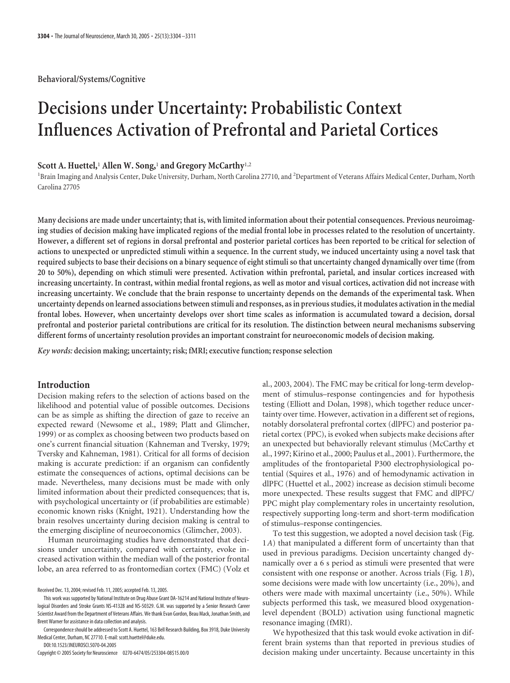# **Behavioral/Systems/Cognitive**

# **Decisions under Uncertainty: Probabilistic Context Influences Activation of Prefrontal and Parietal Cortices**

## **Scott A. Huettel,**<sup>1</sup> **Allen W. Song,**<sup>1</sup> **and Gregory McCarthy**1,2

<sup>1</sup>Brain Imaging and Analysis Center, Duke University, Durham, North Carolina 27710, and <sup>2</sup>Department of Veterans Affairs Medical Center, Durham, North Carolina 27705

**Many decisions are made under uncertainty; that is, with limited information about their potential consequences. Previous neuroimaging studies of decision making have implicated regions of the medial frontal lobe in processes related to the resolution of uncertainty. However, a different set of regions in dorsal prefrontal and posterior parietal cortices has been reported to be critical for selection of actions to unexpected or unpredicted stimuli within a sequence. In the current study, we induced uncertainty using a novel task that required subjects to base their decisions on a binary sequence of eight stimuli so that uncertainty changed dynamically over time (from 20 to 50%), depending on which stimuli were presented. Activation within prefrontal, parietal, and insular cortices increased with increasing uncertainty. In contrast, within medial frontal regions, as well as motor and visual cortices, activation did not increase with increasing uncertainty. We conclude that the brain response to uncertainty depends on the demands of the experimental task. When uncertainty depends on learned associations between stimuli and responses, as in previous studies, it modulates activation in the medial frontal lobes. However, when uncertainty develops over short time scales as information is accumulated toward a decision, dorsal prefrontal and posterior parietal contributions are critical for its resolution. The distinction between neural mechanisms subserving different forms of uncertainty resolution provides an important constraint for neuroeconomic models of decision making.**

*Key words:* **decision making; uncertainty; risk; fMRI; executive function; response selection**

# **Introduction**

Decision making refers to the selection of actions based on the likelihood and potential value of possible outcomes. Decisions can be as simple as shifting the direction of gaze to receive an expected reward (Newsome et al., 1989; Platt and Glimcher, 1999) or as complex as choosing between two products based on one's current financial situation (Kahneman and Tversky, 1979; Tversky and Kahneman, 1981). Critical for all forms of decision making is accurate prediction: if an organism can confidently estimate the consequences of actions, optimal decisions can be made. Nevertheless, many decisions must be made with only limited information about their predicted consequences; that is, with psychological uncertainty or (if probabilities are estimable) economic known risks (Knight, 1921). Understanding how the brain resolves uncertainty during decision making is central to the emerging discipline of neuroeconomics (Glimcher, 2003).

Human neuroimaging studies have demonstrated that decisions under uncertainty, compared with certainty, evoke increased activation within the median wall of the posterior frontal lobe, an area referred to as frontomedian cortex (FMC) (Volz et

DOI:10.1523/JNEUROSCI.5070-04.2005

Copyright © 2005 Society for Neuroscience 0270-6474/05/253304-08\$15.00/0

al., 2003, 2004). The FMC may be critical for long-term development of stimulus–response contingencies and for hypothesis testing (Elliott and Dolan, 1998), which together reduce uncertainty over time. However, activation in a different set of regions, notably dorsolateral prefrontal cortex (dlPFC) and posterior parietal cortex (PPC), is evoked when subjects make decisions after an unexpected but behaviorally relevant stimulus (McCarthy et al., 1997; Kirino et al., 2000; Paulus et al., 2001). Furthermore, the amplitudes of the frontoparietal P300 electrophysiological potential (Squires et al., 1976) and of hemodynamic activation in dlPFC (Huettel et al., 2002) increase as decision stimuli become more unexpected. These results suggest that FMC and dlPFC/ PPC might play complementary roles in uncertainty resolution, respectively supporting long-term and short-term modification of stimulus–response contingencies.

To test this suggestion, we adopted a novel decision task (Fig. 1*A*) that manipulated a different form of uncertainty than that used in previous paradigms. Decision uncertainty changed dynamically over a 6 s period as stimuli were presented that were consistent with one response or another. Across trials (Fig. 1*B*), some decisions were made with low uncertainty (i.e., 20%), and others were made with maximal uncertainty (i.e., 50%). While subjects performed this task, we measured blood oxygenationlevel dependent (BOLD) activation using functional magnetic resonance imaging (fMRI).

We hypothesized that this task would evoke activation in different brain systems than that reported in previous studies of decision making under uncertainty. Because uncertainty in this

Received Dec. 13, 2004; revised Feb. 11, 2005; accepted Feb. 13, 2005.

This work was supported by National Institute on Drug Abuse Grant DA-16214 and National Institute of Neurological Disorders and Stroke Grants NS-41328 and NS-50329. G.M. was supported by a Senior Research Career Scientist Award from the Department of Veterans Affairs. We thank Evan Gordon, Beau Mack, Jonathan Smith, and Brent Warner for assistance in data collection and analysis.

Correspondence should be addressed to Scott A. Huettel, 163 Bell Research Building, Box 3918, Duke University Medical Center, Durham, NC 27710. E-mail: scott.huettel@duke.edu.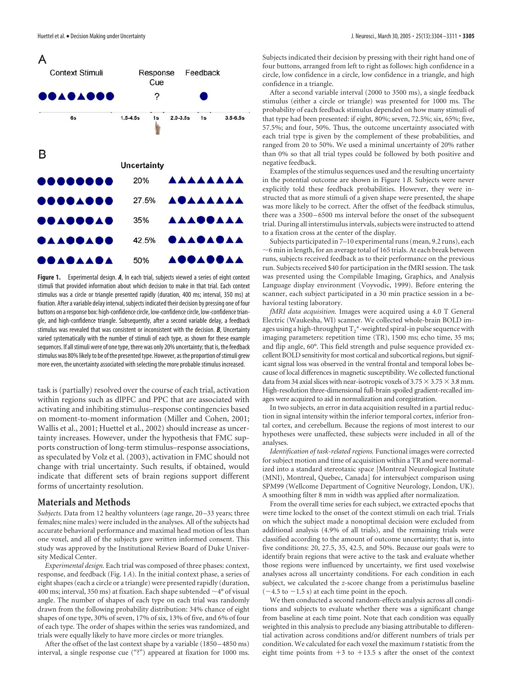

**Figure 1.** Experimental design. *A*, In each trial, subjects viewed a series of eight context stimuli that provided information about which decision to make in that trial. Each context stimulus was a circle or triangle presented rapidly (duration, 400 ms; interval, 350 ms) at fixation. After a variable delay interval, subjects indicated their decision by pressing one of four buttons on a response box: high-confidence circle, low-confidence circle, low-confidence triangle, and high-confidence triangle. Subsequently, after a second variable delay, a feedback stimulus was revealed that was consistent or inconsistent with the decision. *B*, Uncertainty varied systematically with the number of stimuli of each type, as shown for these example sequences. If all stimuli were of one type, there was only 20% uncertainty; that is, the feedback stimulus was 80% likely to be of the presented type. However, as the proportion of stimuli grew more even, the uncertainty associated with selecting the more probable stimulus increased.

task is (partially) resolved over the course of each trial, activation within regions such as dlPFC and PPC that are associated with activating and inhibiting stimulus–response contingencies based on moment-to-moment information (Miller and Cohen, 2001; Wallis et al., 2001; Huettel et al., 2002) should increase as uncertainty increases. However, under the hypothesis that FMC supports construction of long-term stimulus–response associations, as speculated by Volz et al. (2003), activation in FMC should not change with trial uncertainty. Such results, if obtained, would indicate that different sets of brain regions support different forms of uncertainty resolution.

## **Materials and Methods**

*Subjects.* Data from 12 healthy volunteers (age range, 20 –33 years; three females; nine males) were included in the analyses. All of the subjects had accurate behavioral performance and maximal head motion of less than one voxel, and all of the subjects gave written informed consent. This study was approved by the Institutional Review Board of Duke University Medical Center.

*Experimental design.* Each trial was composed of three phases: context, response, and feedback (Fig. 1*A*). In the initial context phase, a series of eight shapes (each a circle or a triangle) were presented rapidly (duration, 400 ms; interval, 350 ms) at fixation. Each shape subtended  $\sim$  4° of visual angle. The number of shapes of each type on each trial was randomly drawn from the following probability distribution: 34% chance of eight shapes of one type, 30% of seven, 17% of six, 13% of five, and 6% of four of each type. The order of shapes within the series was randomized, and trials were equally likely to have more circles or more triangles.

After the offset of the last context shape by a variable (1850 – 4850 ms) interval, a single response cue ("?") appeared at fixation for 1000 ms.

Subjects indicated their decision by pressing with their right hand one of four buttons, arranged from left to right as follows: high confidence in a circle, low confidence in a circle, low confidence in a triangle, and high confidence in a triangle.

After a second variable interval (2000 to 3500 ms), a single feedback stimulus (either a circle or triangle) was presented for 1000 ms. The probability of each feedback stimulus depended on how many stimuli of that type had been presented: if eight, 80%; seven, 72.5%; six, 65%; five, 57.5%; and four, 50%. Thus, the outcome uncertainty associated with each trial type is given by the complement of these probabilities, and ranged from 20 to 50%. We used a minimal uncertainty of 20% rather than 0% so that all trial types could be followed by both positive and negative feedback.

Examples of the stimulus sequences used and the resulting uncertainty in the potential outcome are shown in Figure 1*B*. Subjects were never explicitly told these feedback probabilities. However, they were instructed that as more stimuli of a given shape were presented, the shape was more likely to be correct. After the offset of the feedback stimulus, there was a 3500 – 6500 ms interval before the onset of the subsequent trial. During all interstimulus intervals, subjects were instructed to attend to a fixation cross at the center of the display.

Subjects participated in 7–10 experimental runs (mean, 9.2 runs), each  $\sim$ 6 min in length, for an average total of 165 trials. At each break between runs, subjects received feedback as to their performance on the previous run. Subjects received \$40 for participation in the fMRI session. The task was presented using the Compilable Imaging, Graphics, and Analysis Language display environment (Voyvodic, 1999). Before entering the scanner, each subject participated in a 30 min practice session in a behavioral testing laboratory.

*fMRI data acquisition.* Images were acquired using a 4.0 T General Electric (Waukesha, WI) scanner. We collected whole-brain BOLD images using a high-throughput  $T_2^*$ -weighted spiral-in pulse sequence with imaging parameters: repetition time (TR), 1500 ms; echo time, 35 ms; and flip angle, 60°. This field strength and pulse sequence provided excellent BOLD sensitivity for most cortical and subcortical regions, but significant signal loss was observed in the ventral frontal and temporal lobes because of local differences in magnetic susceptibility. We collected functional data from 34 axial slices with near-isotropic voxels of 3.75  $\times$  3.75  $\times$  3.8 mm. High-resolution three-dimensional full-brain spoiled gradient-recalled images were acquired to aid in normalization and coregistration.

In two subjects, an error in data acquisition resulted in a partial reduction in signal intensity within the inferior temporal cortex, inferior frontal cortex, and cerebellum. Because the regions of most interest to our hypotheses were unaffected, these subjects were included in all of the analyses.

*Identification of task-related regions.* Functional images were corrected for subject motion and time of acquisition within a TR and were normalized into a standard stereotaxic space [Montreal Neurological Institute (MNI), Montreal, Quebec, Canada] for intersubject comparison using SPM99 (Wellcome Department of Cognitive Neurology, London, UK). A smoothing filter 8 mm in width was applied after normalization.

From the overall time series for each subject, we extracted epochs that were time locked to the onset of the context stimuli on each trial. Trials on which the subject made a nonoptimal decision were excluded from additional analysis (4.9% of all trials), and the remaining trials were classified according to the amount of outcome uncertainty; that is, into five conditions: 20, 27.5, 35, 42.5, and 50%. Because our goals were to identify brain regions that were active to the task and evaluate whether those regions were influenced by uncertainty, we first used voxelwise analyses across all uncertainty conditions. For each condition in each subject, we calculated the *z*-score change from a peristimulus baseline  $(-4.5$  to  $-1.5$  s) at each time point in the epoch.

We then conducted a second random-effects analysis across all conditions and subjects to evaluate whether there was a significant change from baseline at each time point. Note that each condition was equally weighted in this analysis to preclude any biasing attributable to differential activation across conditions and/or different numbers of trials per condition. We calculated for each voxel the maximum *t*statistic from the eight time points from  $+3$  to  $+13.5$  s after the onset of the context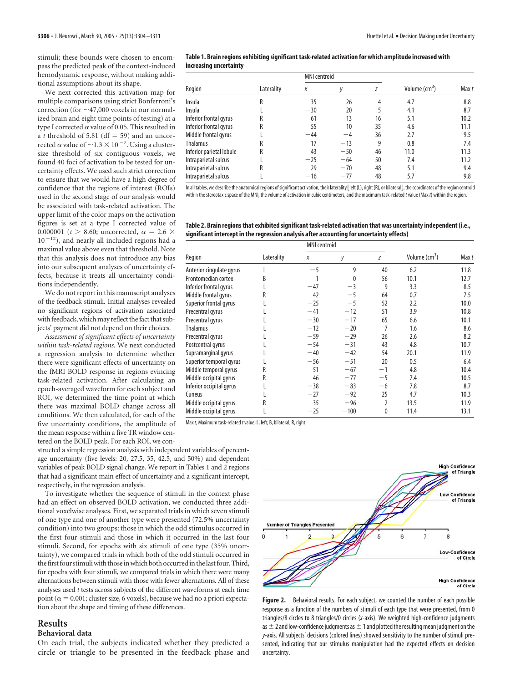stimuli; these bounds were chosen to encompass the predicted peak of the context-induced hemodynamic response, without making additional assumptions about its shape.

We next corrected this activation map for multiple comparisons using strict Bonferroni's correction (for  $\sim$  47,000 voxels in our normalized brain and eight time points of testing) at a type I corrected  $\alpha$  value of 0.05. This resulted in a *t* threshold of 5.81 (df  $=$  59) and an uncorrected  $\alpha$  value of  $\sim$ 1.3  $\times$  10  $^{-7}$ . Using a clustersize threshold of six contiguous voxels, we found 40 foci of activation to be tested for uncertainty effects. We used such strict correction to ensure that we would have a high degree of confidence that the regions of interest (ROIs) used in the second stage of our analysis would be associated with task-related activation. The upper limit of the color maps on the activation figures is set at a type I corrected value of 0.000001 (*t*  $> 8.60$ ; uncorrected,  $\alpha = 2.6 \times$  $10<sup>-12</sup>$ ), and nearly all included regions had a maximal value above even that threshold. Note that this analysis does not introduce any bias into our subsequent analyses of uncertainty effects, because it treats all uncertainty conditions independently.

We do not report in this manuscript analyses of the feedback stimuli. Initial analyses revealed no significant regions of activation associated with feedback, which may reflect the fact that subjects' payment did not depend on their choices.

*Assessment of significant effects of uncertainty within task-related regions.* We next conducted a regression analysis to determine whether there were significant effects of uncertainty on the fMRI BOLD response in regions evincing task-related activation. After calculating an epoch-averaged waveform for each subject and ROI, we determined the time point at which there was maximal BOLD change across all conditions. We then calculated, for each of the five uncertainty conditions, the amplitude of the mean response within a five TR window centered on the BOLD peak. For each ROI, we con-

structed a simple regression analysis with independent variables of percentage uncertainty (five levels: 20, 27.5, 35, 42.5, and 50%) and dependent variables of peak BOLD signal change. We report in Tables 1 and 2 regions that had a significant main effect of uncertainty and a significant intercept, respectively, in the regression analysis.

To investigate whether the sequence of stimuli in the context phase had an effect on observed BOLD activation, we conducted three additional voxelwise analyses. First, we separated trials in which seven stimuli of one type and one of another type were presented (72.5% uncertainty condition) into two groups: those in which the odd stimulus occurred in the first four stimuli and those in which it occurred in the last four stimuli. Second, for epochs with six stimuli of one type (35% uncertainty), we compared trials in which both of the odd stimuli occurred in the first four stimuli with those in which both occurred in the last four. Third, for epochs with four stimuli, we compared trials in which there were many alternations between stimuli with those with fewer alternations. All of these analyses used *t* tests across subjects of the different waveforms at each time point ( $\alpha$  = 0.001; cluster size, 6 voxels), because we had no a priori expectation about the shape and timing of these differences.

#### **Results**

#### **Behavioral data**

On each trial, the subjects indicated whether they predicted a circle or triangle to be presented in the feedback phase and

#### **Table 1. Brain regions exhibiting significant task-related activation for which amplitude increased with increasing uncertainty**

| Region                   | Laterality | <b>MNI</b> centroid |       |    |                        |       |
|--------------------------|------------|---------------------|-------|----|------------------------|-------|
|                          |            | Χ                   |       |    | Volume $\text{(cm}^3)$ | Max t |
| Insula                   | R          | 35                  | 26    | 4  | 4.7                    | 8.8   |
| Insula                   |            | $-30$               | 20    | 5  | 4.1                    | 8.7   |
| Inferior frontal gyrus   | R          | 61                  | 13    | 16 | 5.1                    | 10.2  |
| Inferior frontal gyrus   | R          | 55                  | 10    | 35 | 4.6                    | 11.1  |
| Middle frontal gyrus     |            | $-44$               | -4    | 36 | 2.7                    | 9.5   |
| <b>Thalamus</b>          | R          | 17                  | $-13$ | 9  | 0.8                    | 7.4   |
| Inferior parietal lobule | R          | 43                  | $-50$ | 46 | 11.0                   | 11.3  |
| Intraparietal sulcus     |            | $-25$               | $-64$ | 50 | 7.4                    | 11.2  |
| Intraparietal sulcus     | R          | 29                  | $-70$ | 48 | 5.1                    | 9.4   |
| Intraparietal sulcus     |            | $-16$               | $-77$ | 48 | 5.7                    | 9.8   |

In all tables, we describe the anatomical regions of significant activation, their laterality [left (L), right (R), or bilateral], the coordinates of the region centroid within the stereotaxic space of the MNI, the volume of activation in cubic centimeters, and the maximum task-related*t*value (Max*t*) within the region.

**Table 2. Brain regions that exhibited significant task-related activation that was uncertainty independent (i.e., significant intercept in the regression analysis after accounting for uncertainty effects)**

| Region                   | Laterality | <b>MNI</b> centroid |               |      |                        |       |
|--------------------------|------------|---------------------|---------------|------|------------------------|-------|
|                          |            | X                   | V             | Z    | Volume $\text{(cm}^3)$ | Max t |
| Anterior cingulate gyrus |            | $-5$                | 9             | 40   | 6.2                    | 11.8  |
| Frontomedian cortex      | B          |                     | 0             | 56   | 10.1                   | 12.7  |
| Inferior frontal gyrus   |            | $-47$               | <sup>-3</sup> | 9    | 3.3                    | 8.5   |
| Middle frontal gyrus     | R          | 42                  | $-5$          | 64   | 0.7                    | 7.5   |
| Superior frontal gyrus   |            | $-25$               | $-5$          | 52   | 2.2                    | 10.0  |
| Precentral gyrus         |            | $-41$               | $-12$         | 51   | 3.9                    | 10.8  |
| Precentral gyrus         |            | $-30$               | $-17$         | 65   | 6.6                    | 10.1  |
| <b>Thalamus</b>          |            | $-12$               | $-20$         | 7    | 1.6                    | 8.6   |
| Precentral gyrus         |            | $-59$               | $-29$         | 26   | 2.6                    | 8.2   |
| Postcentral gyrus        |            | $-54$               | $-31$         | 43   | 4.8                    | 10.7  |
| Supramarginal gyrus      |            | $-40$               | $-42$         | 54   | 20.1                   | 11.9  |
| Superior temporal gyrus  |            | $-56$               | $-51$         | 20   | 0.5                    | 6.4   |
| Middle temporal gyrus    | R          | 51                  | $-67$         | $-1$ | 4.8                    | 10.4  |
| Middle occipital gyrus   | R          | 46                  | $-77$         | $-5$ | 7.4                    | 10.5  |
| Inferior occipital gyrus |            | $-38$               | $-83$         | $-6$ | 7.8                    | 8.7   |
| Cuneus                   |            | $-27$               | $-92$         | 25   | 4.7                    | 10.3  |
| Middle occipital gyrus   | R          | 35                  | $-96$         | 2    | 13.5                   | 11.9  |
| Middle occipital gyrus   |            | $-25$               | $-100$        | 0    | 11.4                   | 13.1  |

Max*t*, Maximum task-related*t*value; L, left; B, bilateral; R, right.



Figure 2. Behavioral results. For each subject, we counted the number of each possible response as a function of the numbers of stimuli of each type that were presented, from 0 triangles/8 circles to 8 triangles/0 circles (*x*-axis). We weighted high-confidence judgments as  $\pm$  2 and low-confidence judgments as  $\pm$  1 and plotted the resulting mean judgment on the *y*-axis. All subjects' decisions (colored lines) showed sensitivity to the number of stimuli presented, indicating that our stimulus manipulation had the expected effects on decision uncertainty.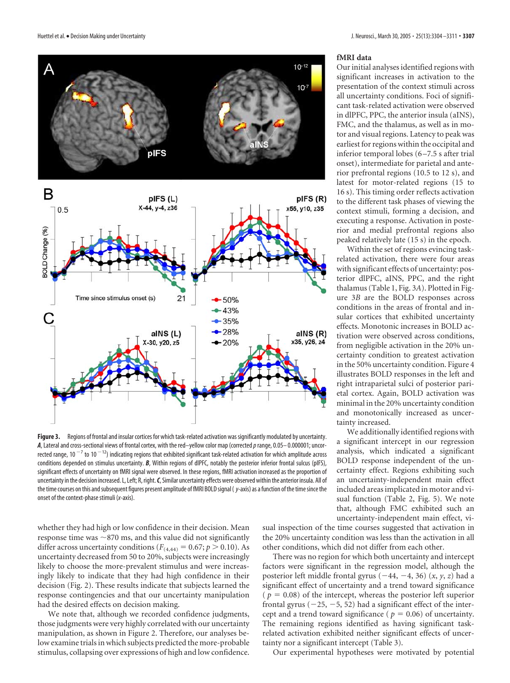

**Figure 3.** Regions of frontal and insular cortices for which task-related activation was significantly modulated by uncertainty. *A*, Lateral and cross-sectional views of frontal cortex, with the red–yellow color map (corrected*p*range, 0.05– 0.000001; uncorrected range,  $10^{-7}$  to  $10^{-12}$ ) indicating regions that exhibited significant task-related activation for which amplitude across conditions depended on stimulus uncertainty. *B*, Within regions of dlPFC, notably the posterior inferior frontal sulcus (pIFS), significant effects of uncertainty on fMRI signal were observed. In these regions, fMRI activation increased as the proportion of uncertainty in the decision increased. L, Left; R, right.*C*, Similar uncertainty effects were observed within the anterior insula. All of the time courses on this and subsequent figures present amplitude of fMRI BOLD signal (*y*-axis) as a function of the time since the onset of the context-phase stimuli (*x*-axis).

whether they had high or low confidence in their decision. Mean response time was  $\sim$ 870 ms, and this value did not significantly differ across uncertainty conditions ( $F_{(4,44)} = 0.67$ ;  $p > 0.10$ ). As uncertainty decreased from 50 to 20%, subjects were increasingly likely to choose the more-prevalent stimulus and were increasingly likely to indicate that they had high confidence in their decision (Fig. 2). These results indicate that subjects learned the response contingencies and that our uncertainty manipulation had the desired effects on decision making.

We note that, although we recorded confidence judgments, those judgments were very highly correlated with our uncertainty manipulation, as shown in Figure 2. Therefore, our analyses below examine trials in which subjects predicted the more-probable stimulus, collapsing over expressions of high and low confidence.

### **fMRI data**

Our initial analyses identified regions with significant increases in activation to the presentation of the context stimuli across all uncertainty conditions. Foci of significant task-related activation were observed in dlPFC, PPC, the anterior insula (aINS), FMC, and the thalamus, as well as in motor and visual regions. Latency to peak was earliest for regions within the occipital and inferior temporal lobes (6 –7.5 s after trial onset), intermediate for parietal and anterior prefrontal regions (10.5 to 12 s), and latest for motor-related regions (15 to 16 s). This timing order reflects activation to the different task phases of viewing the context stimuli, forming a decision, and executing a response. Activation in posterior and medial prefrontal regions also peaked relatively late (15 s) in the epoch.

Within the set of regions evincing taskrelated activation, there were four areas with significant effects of uncertainty: posterior dlPFC, aINS, PPC, and the right thalamus (Table 1, Fig. 3*A*). Plotted in Figure 3*B* are the BOLD responses across conditions in the areas of frontal and insular cortices that exhibited uncertainty effects. Monotonic increases in BOLD activation were observed across conditions, from negligible activation in the 20% uncertainty condition to greatest activation in the 50% uncertainty condition. Figure 4 illustrates BOLD responses in the left and right intraparietal sulci of posterior parietal cortex. Again, BOLD activation was minimal in the 20% uncertainty condition and monotonically increased as uncertainty increased.

We additionally identified regions with a significant intercept in our regression analysis, which indicated a significant BOLD response independent of the uncertainty effect. Regions exhibiting such an uncertainty-independent main effect included areas implicated in motor and visual function (Table 2, Fig. 5). We note that, although FMC exhibited such an uncertainty-independent main effect, vi-

sual inspection of the time courses suggested that activation in the 20% uncertainty condition was less than the activation in all other conditions, which did not differ from each other.

There was no region for which both uncertainty and intercept factors were significant in the regression model, although the posterior left middle frontal gyrus  $(-44, -4, 36)$   $(x, y, z)$  had a significant effect of uncertainty and a trend toward significance ( $p = 0.08$ ) of the intercept, whereas the posterior left superior frontal gyrus  $(-25, -5, 52)$  had a significant effect of the intercept and a trend toward significance ( $p = 0.06$ ) of uncertainty. The remaining regions identified as having significant taskrelated activation exhibited neither significant effects of uncertainty nor a significant intercept (Table 3).

Our experimental hypotheses were motivated by potential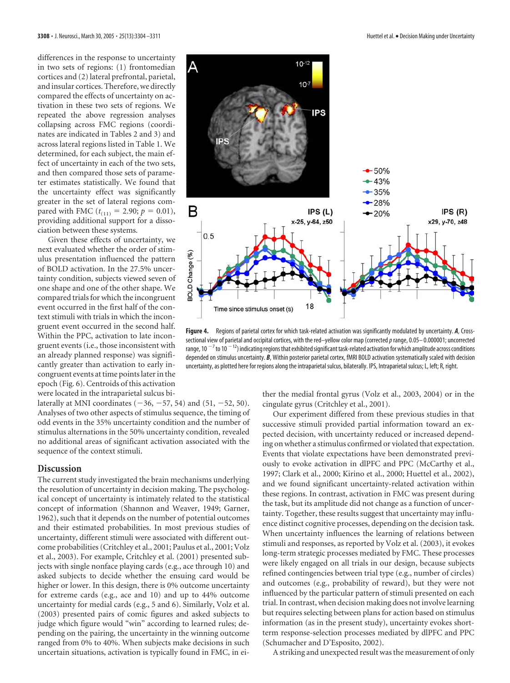differences in the response to uncertainty in two sets of regions: (1) frontomedian cortices and (2) lateral prefrontal, parietal, and insular cortices. Therefore, we directly compared the effects of uncertainty on activation in these two sets of regions. We repeated the above regression analyses collapsing across FMC regions (coordinates are indicated in Tables 2 and 3) and across lateral regions listed in Table 1. We determined, for each subject, the main effect of uncertainty in each of the two sets, and then compared those sets of parameter estimates statistically. We found that the uncertainty effect was significantly greater in the set of lateral regions compared with FMC  $(t_{(11)} = 2.90; p = 0.01)$ , providing additional support for a dissociation between these systems.

Given these effects of uncertainty, we next evaluated whether the order of stimulus presentation influenced the pattern of BOLD activation. In the 27.5% uncertainty condition, subjects viewed seven of one shape and one of the other shape. We compared trials for which the incongruent event occurred in the first half of the context stimuli with trials in which the incongruent event occurred in the second half. Within the PPC, activation to late incongruent events (i.e., those inconsistent with an already planned response) was significantly greater than activation to early incongruent events at time points later in the epoch (Fig. 6). Centroids of this activation were located in the intraparietal sulcus bi-

laterally at MNI coordinates  $(-36, -57, 54)$  and  $(51, -52, 50)$ . Analyses of two other aspects of stimulus sequence, the timing of odd events in the 35% uncertainty condition and the number of stimulus alternations in the 50% uncertainty condition, revealed no additional areas of significant activation associated with the sequence of the context stimuli.

## **Discussion**

The current study investigated the brain mechanisms underlying the resolution of uncertainty in decision making. The psychological concept of uncertainty is intimately related to the statistical concept of information (Shannon and Weaver, 1949; Garner, 1962), such that it depends on the number of potential outcomes and their estimated probabilities. In most previous studies of uncertainty, different stimuli were associated with different outcome probabilities (Critchley et al., 2001; Paulus et al., 2001; Volz et al., 2003). For example, Critchley et al. (2001) presented subjects with single nonface playing cards (e.g., ace through 10) and asked subjects to decide whether the ensuing card would be higher or lower. In this design, there is 0% outcome uncertainty for extreme cards (e.g., ace and 10) and up to 44% outcome uncertainty for medial cards (e.g., 5 and 6). Similarly, Volz et al. (2003) presented pairs of comic figures and asked subjects to judge which figure would "win" according to learned rules; depending on the pairing, the uncertainty in the winning outcome ranged from 0% to 40%. When subjects make decisions in such uncertain situations, activation is typically found in FMC, in ei-



**Figure 4.** Regions of parietal cortex for which task-related activation was significantly modulated by uncertainty. *A*, Crosssectional view of parietal and occipital cortices, with the red–yellow color map (corrected*p*range, 0.05– 0.000001; uncorrected range, 10  $^{-7}$  to 10  $^{-12}$ ) indicating regions that exhibited significant task-related activation for which amplitude across conditions depended on stimulus uncertainty. *B*, Within posterior parietal cortex, fMRI BOLD activation systematically scaled with decision uncertainty, as plotted here for regions along the intraparietal sulcus, bilaterally. IPS, Intraparietal sulcus; L, left; R, right.

ther the medial frontal gyrus (Volz et al., 2003, 2004) or in the cingulate gyrus (Critchley et al., 2001).

Our experiment differed from these previous studies in that successive stimuli provided partial information toward an expected decision, with uncertainty reduced or increased depending on whether a stimulus confirmed or violated that expectation. Events that violate expectations have been demonstrated previously to evoke activation in dlPFC and PPC (McCarthy et al., 1997; Clark et al., 2000; Kirino et al., 2000; Huettel et al., 2002), and we found significant uncertainty-related activation within these regions. In contrast, activation in FMC was present during the task, but its amplitude did not change as a function of uncertainty. Together, these results suggest that uncertainty may influence distinct cognitive processes, depending on the decision task. When uncertainty influences the learning of relations between stimuli and responses, as reported by Volz et al. (2003), it evokes long-term strategic processes mediated by FMC. These processes were likely engaged on all trials in our design, because subjects refined contingencies between trial type (e.g., number of circles) and outcomes (e.g., probability of reward), but they were not influenced by the particular pattern of stimuli presented on each trial. In contrast, when decision making does not involve learning but requires selecting between plans for action based on stimulus information (as in the present study), uncertainty evokes shortterm response-selection processes mediated by dlPFC and PPC (Schumacher and D'Esposito, 2002).

A striking and unexpected result was the measurement of only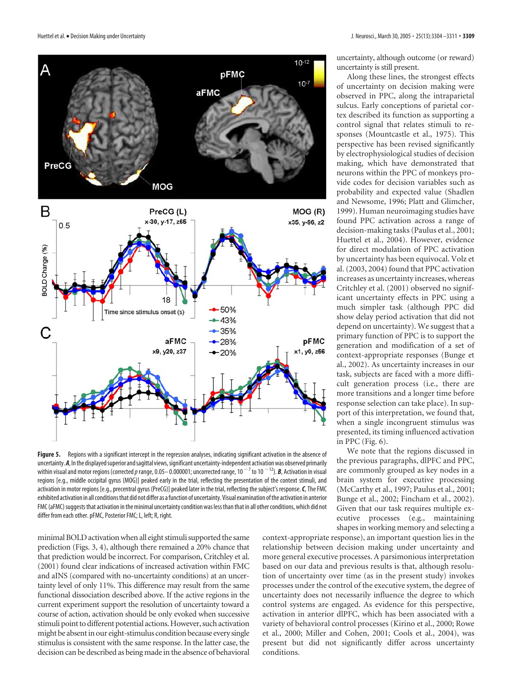

**Figure 5.** Regions with a significant intercept in the regression analyses, indicating significant activation in the absence of uncertainty.*A*, Inthe displayedsuperior andsagittal views,significant uncertainty-independent activationwas observed primarily within visual and motor regions (corrected *p* range, 0.05–0.000001; uncorrected range, 10  $^{-7}$  to 10  $^{-12}$ ). *B,* Activation in visual regions [e.g., middle occipital gyrus (MOG)] peaked early in the trial, reflecting the presentation of the context stimuli, and activation in motor regions [e.g., precentral gyrus (PreCG)] peaked later in the trial, reflecting the subject's response.*C*, The FMC exhibited activation in all conditionsthat did not differ as a function of uncertainty. Visual examination ofthe activation in anterior FMC (aFMC) suggests that activation in the minimal uncertainty condition was less than that in all other conditions, which did not differ from each other. pFMC, Posterior FMC; L, left; R, right.

minimal BOLD activation when all eight stimuli supported the same prediction (Figs. 3, 4), although there remained a 20% chance that that prediction would be incorrect. For comparison, Critchley et al. (2001) found clear indications of increased activation within FMC and aINS (compared with no-uncertainty conditions) at an uncertainty level of only 11%. This difference may result from the same functional dissociation described above. If the active regions in the current experiment support the resolution of uncertainty toward a course of action, activation should be only evoked when successive stimuli point to different potential actions. However, such activation might be absent in our eight-stimulus condition because every single stimulus is consistent with the same response. In the latter case, the decision can be described as being made in the absence of behavioral

uncertainty, although outcome (or reward) uncertainty is still present.

Along these lines, the strongest effects of uncertainty on decision making were observed in PPC, along the intraparietal sulcus. Early conceptions of parietal cortex described its function as supporting a control signal that relates stimuli to responses (Mountcastle et al., 1975). This perspective has been revised significantly by electrophysiological studies of decision making, which have demonstrated that neurons within the PPC of monkeys provide codes for decision variables such as probability and expected value (Shadlen and Newsome, 1996; Platt and Glimcher, 1999). Human neuroimaging studies have found PPC activation across a range of decision-making tasks (Paulus et al., 2001; Huettel et al., 2004). However, evidence for direct modulation of PPC activation by uncertainty has been equivocal. Volz et al. (2003, 2004) found that PPC activation increases as uncertainty increases, whereas Critchley et al. (2001) observed no significant uncertainty effects in PPC using a much simpler task (although PPC did show delay period activation that did not depend on uncertainty). We suggest that a primary function of PPC is to support the generation and modification of a set of context-appropriate responses (Bunge et al., 2002). As uncertainty increases in our task, subjects are faced with a more difficult generation process (i.e., there are more transitions and a longer time before response selection can take place). In support of this interpretation, we found that, when a single incongruent stimulus was presented, its timing influenced activation in PPC (Fig. 6).

We note that the regions discussed in the previous paragraphs, dlPFC and PPC, are commonly grouped as key nodes in a brain system for executive processing (McCarthy et al., 1997; Paulus et al., 2001; Bunge et al., 2002; Fincham et al., 2002). Given that our task requires multiple executive processes (e.g., maintaining shapes in working memory and selecting a

context-appropriate response), an important question lies in the relationship between decision making under uncertainty and more general executive processes. A parsimonious interpretation based on our data and previous results is that, although resolution of uncertainty over time (as in the present study) invokes processes under the control of the executive system, the degree of uncertainty does not necessarily influence the degree to which control systems are engaged. As evidence for this perspective, activation in anterior dlPFC, which has been associated with a variety of behavioral control processes (Kirino et al., 2000; Rowe et al., 2000; Miller and Cohen, 2001; Cools et al., 2004), was present but did not significantly differ across uncertainty conditions.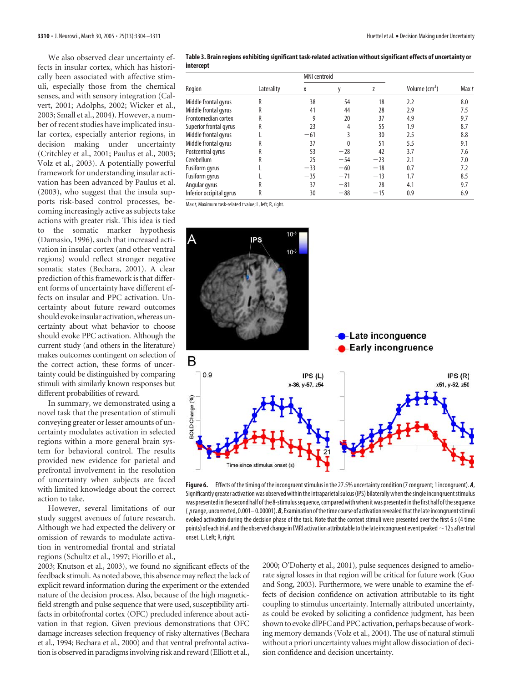We also observed clear uncertainty effects in insular cortex, which has historically been associated with affective stimuli, especially those from the chemical senses, and with sensory integration (Calvert, 2001; Adolphs, 2002; Wicker et al., 2003; Small et al., 2004). However, a number of recent studies have implicated insular cortex, especially anterior regions, in decision making under uncertainty (Critchley et al., 2001; Paulus et al., 2003; Volz et al., 2003). A potentially powerful framework for understanding insular activation has been advanced by Paulus et al. (2003), who suggest that the insula supports risk-based control processes, becoming increasingly active as subjects take actions with greater risk. This idea is tied to the somatic marker hypothesis (Damasio, 1996), such that increased activation in insular cortex (and other ventral regions) would reflect stronger negative somatic states (Bechara, 2001). A clear prediction of this framework is that different forms of uncertainty have different effects on insular and PPC activation. Uncertainty about future reward outcomes should evoke insular activation, whereas uncertainty about what behavior to choose should evoke PPC activation. Although the current study (and others in the literature) makes outcomes contingent on selection of the correct action, these forms of uncertainty could be distinguished by comparing stimuli with similarly known responses but different probabilities of reward.

In summary, we demonstrated using a novel task that the presentation of stimuli conveying greater or lesser amounts of uncertainty modulates activation in selected regions within a more general brain system for behavioral control. The results provided new evidence for parietal and prefrontal involvement in the resolution of uncertainty when subjects are faced with limited knowledge about the correct action to take.

However, several limitations of our study suggest avenues of future research. Although we had expected the delivery or omission of rewards to modulate activation in ventromedial frontal and striatal regions (Schultz et al., 1997; Fiorillo et al.,

2003; Knutson et al., 2003), we found no significant effects of the feedback stimuli. As noted above, this absence may reflect the lack of explicit reward information during the experiment or the extended nature of the decision process. Also, because of the high magneticfield strength and pulse sequence that were used, susceptibility artifacts in orbitofrontal cortex (OFC) precluded inference about activation in that region. Given previous demonstrations that OFC damage increases selection frequency of risky alternatives (Bechara et al., 1994; Bechara et al., 2000) and that ventral prefrontal activation is observed in paradigms involving risk and reward (Elliott et al.,

| Region                   | Laterality | <b>MNI</b> centroid |       |       |                        |       |
|--------------------------|------------|---------------------|-------|-------|------------------------|-------|
|                          |            | X                   |       | Z     | Volume $\text{(cm}^3)$ | Max t |
| Middle frontal gyrus     | R          | 38                  | 54    | 18    | 2.2                    | 8.0   |
| Middle frontal gyrus     | R          | 41                  | 44    | 28    | 2.9                    | 7.5   |
| Frontomedian cortex      | R          | 9                   | 20    | 37    | 4.9                    | 9.7   |
| Superior frontal gyrus   | R          | 23                  | 4     | 55    | 1.9                    | 8.7   |
| Middle frontal gyrus     |            | $-61$               | 3     | 30    | 2.5                    | 8.8   |
| Middle frontal gyrus     | R          | 37                  | 0     | 51    | 5.5                    | 9.1   |
| Postcentral gyrus        | R          | 53                  | $-28$ | 42    | 3.7                    | 7.6   |
| Cerebellum               | R          | 25                  | $-54$ | $-23$ | 2.1                    | 7.0   |
| Fusiform gyrus           |            | $-33$               | $-60$ | $-18$ | 0.7                    | 7.2   |
| Fusiform gyrus           |            | $-35$               | $-71$ | $-13$ | 1.7                    | 8.5   |
| Angular gyrus            | R          | 37                  | $-81$ | 28    | 4.1                    | 9.7   |
| Inferior occipital gyrus | R          | 30                  | $-88$ | $-15$ | 0.9                    | 6.9   |

Max*t*, Maximum task-related*t*value; L, left; R, right.



Figure 6. Effects of the timing of the incongruent stimulus in the 27.5% uncertainty condition (7 congruent; 1 incongruent). *A*, Significantly greater activation was observed within the intraparietal sulcus (IPS) bilaterally when the single incongruent stimulus was presented in the second half of the 8-stimulus sequence, compared with when it was presented in the first half of the sequence ( *p*range, uncorrected, 0.001– 0.00001).*B*, Examination ofthetime course of activationrevealedthatthe late incongruentstimuli evoked activation during the decision phase of the task. Note that the context stimuli were presented over the first 6 s (4time points) of each trial, and the observed change in fMRI activation attributable to the late incongruent event peaked  $\sim$  12 s after trial onset. L, Left; R, right.

2000; O'Doherty et al., 2001), pulse sequences designed to ameliorate signal losses in that region will be critical for future work (Guo and Song, 2003). Furthermore, we were unable to examine the effects of decision confidence on activation attributable to its tight coupling to stimulus uncertainty. Internally attributed uncertainty, as could be evoked by soliciting a confidence judgment, has been shown to evoke dlPFC and PPC activation, perhaps because of working memory demands (Volz et al., 2004). The use of natural stimuli without a priori uncertainty values might allow dissociation of decision confidence and decision uncertainty.